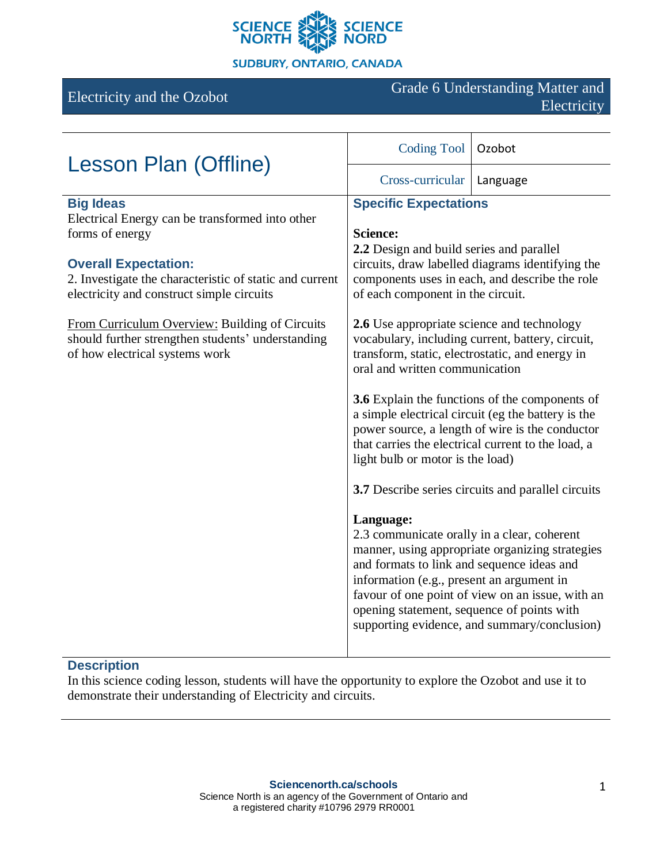

# Electricity and the Ozobot Grade 6 Understanding Matter and Electricity

| <b>Lesson Plan (Offline)</b>                                                                                                          | <b>Coding Tool</b>                                                                                                                                                                                                                                                                                                                                                                                                                                     | Ozobot   |
|---------------------------------------------------------------------------------------------------------------------------------------|--------------------------------------------------------------------------------------------------------------------------------------------------------------------------------------------------------------------------------------------------------------------------------------------------------------------------------------------------------------------------------------------------------------------------------------------------------|----------|
|                                                                                                                                       | Cross-curricular                                                                                                                                                                                                                                                                                                                                                                                                                                       | Language |
| <b>Big Ideas</b>                                                                                                                      | <b>Specific Expectations</b>                                                                                                                                                                                                                                                                                                                                                                                                                           |          |
| Electrical Energy can be transformed into other<br>forms of energy                                                                    | <b>Science:</b><br>2.2 Design and build series and parallel<br>circuits, draw labelled diagrams identifying the<br>components uses in each, and describe the role<br>of each component in the circuit.                                                                                                                                                                                                                                                 |          |
| <b>Overall Expectation:</b><br>2. Investigate the characteristic of static and current<br>electricity and construct simple circuits   |                                                                                                                                                                                                                                                                                                                                                                                                                                                        |          |
| From Curriculum Overview: Building of Circuits<br>should further strengthen students' understanding<br>of how electrical systems work | <b>2.6</b> Use appropriate science and technology<br>vocabulary, including current, battery, circuit,<br>transform, static, electrostatic, and energy in<br>oral and written communication<br><b>3.6</b> Explain the functions of the components of<br>a simple electrical circuit (eg the battery is the<br>power source, a length of wire is the conductor<br>that carries the electrical current to the load, a<br>light bulb or motor is the load) |          |
|                                                                                                                                       |                                                                                                                                                                                                                                                                                                                                                                                                                                                        |          |
|                                                                                                                                       | 3.7 Describe series circuits and parallel circuits                                                                                                                                                                                                                                                                                                                                                                                                     |          |
|                                                                                                                                       | Language:<br>2.3 communicate orally in a clear, coherent<br>manner, using appropriate organizing strategies<br>and formats to link and sequence ideas and<br>information (e.g., present an argument in<br>favour of one point of view on an issue, with an<br>opening statement, sequence of points with<br>supporting evidence, and summary/conclusion)                                                                                               |          |

# **Description**

In this science coding lesson, students will have the opportunity to explore the Ozobot and use it to demonstrate their understanding of Electricity and circuits.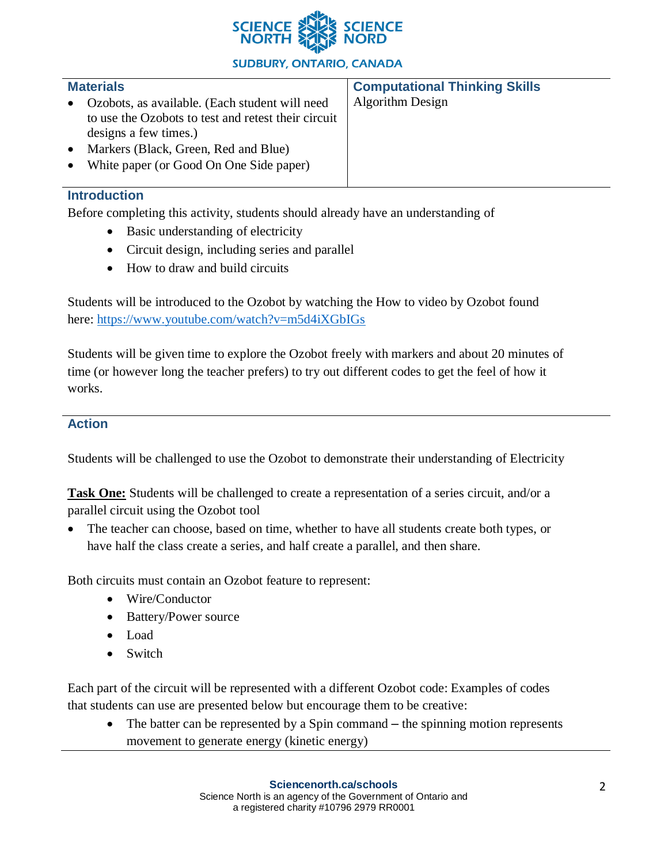

**Computational Thinking Skills**

Algorithm Design

## **Materials**

- Ozobots, as available. (Each student will need to use the Ozobots to test and retest their circuit designs a few times.)
- Markers (Black, Green, Red and Blue)
- White paper (or Good On One Side paper)

# **Introduction**

Before completing this activity, students should already have an understanding of

- Basic understanding of electricity
- Circuit design, including series and parallel
- How to draw and build circuits

Students will be introduced to the Ozobot by watching the How to video by Ozobot found here: <https://www.youtube.com/watch?v=m5d4iXGbIGs>

Students will be given time to explore the Ozobot freely with markers and about 20 minutes of time (or however long the teacher prefers) to try out different codes to get the feel of how it works.

## **Action**

Students will be challenged to use the Ozobot to demonstrate their understanding of Electricity

**Task One:** Students will be challenged to create a representation of a series circuit, and/or a parallel circuit using the Ozobot tool

• The teacher can choose, based on time, whether to have all students create both types, or have half the class create a series, and half create a parallel, and then share.

Both circuits must contain an Ozobot feature to represent:

- Wire/Conductor
- Battery/Power source
- Load
- Switch

Each part of the circuit will be represented with a different Ozobot code: Examples of codes that students can use are presented below but encourage them to be creative:

• The batter can be represented by a Spin command – the spinning motion represents movement to generate energy (kinetic energy)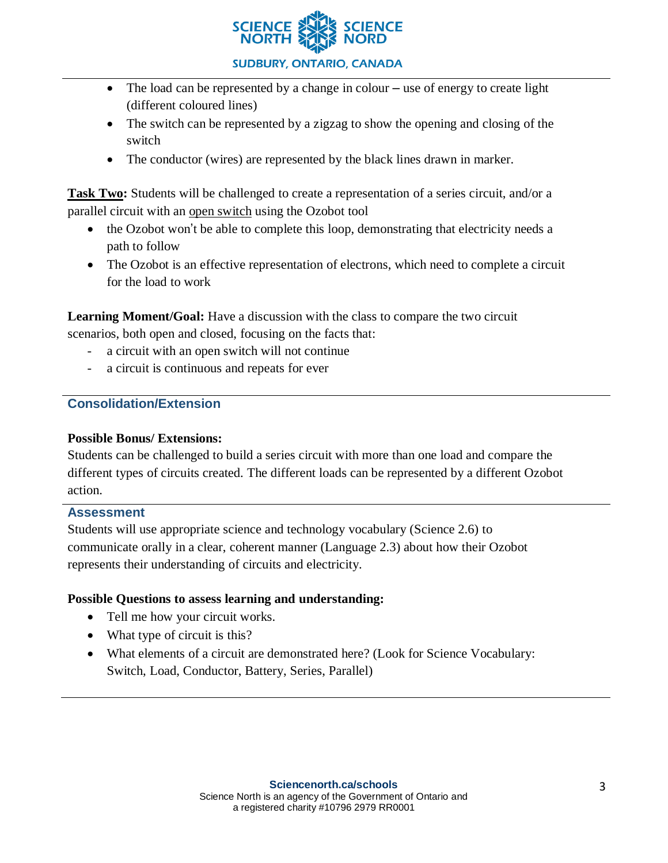

- The load can be represented by a change in colour use of energy to create light (different coloured lines)
- The switch can be represented by a zigzag to show the opening and closing of the switch
- The conductor (wires) are represented by the black lines drawn in marker.

**Task Two:** Students will be challenged to create a representation of a series circuit, and/or a parallel circuit with an open switch using the Ozobot tool

- the Ozobot won't be able to complete this loop, demonstrating that electricity needs a path to follow
- The Ozobot is an effective representation of electrons, which need to complete a circuit for the load to work

**Learning Moment/Goal:** Have a discussion with the class to compare the two circuit

scenarios, both open and closed, focusing on the facts that:

- a circuit with an open switch will not continue
- a circuit is continuous and repeats for ever

# **Consolidation/Extension**

#### **Possible Bonus/ Extensions:**

Students can be challenged to build a series circuit with more than one load and compare the different types of circuits created. The different loads can be represented by a different Ozobot action.

#### **Assessment**

Students will use appropriate science and technology vocabulary (Science 2.6) to communicate orally in a clear, coherent manner (Language 2.3) about how their Ozobot represents their understanding of circuits and electricity.

#### **Possible Questions to assess learning and understanding:**

- Tell me how your circuit works.
- What type of circuit is this?
- What elements of a circuit are demonstrated here? (Look for Science Vocabulary: Switch, Load, Conductor, Battery, Series, Parallel)